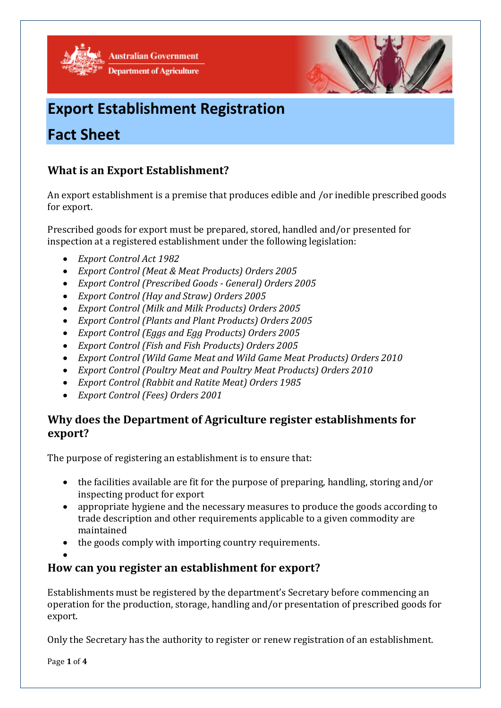

**Australian Government Department of Agriculture** 



# **Export Establishment Registration**

## **Fact Sheet**

## **What is an Export Establishment?**

An export establishment is a premise that produces edible and /or inedible prescribed goods for export.

Prescribed goods for export must be prepared, stored, handled and/or presented for inspection at a registered establishment under the following legislation:

- *Export Control Act 1982*
- *Export Control (Meat & Meat Products) Orders 2005*
- *Export Control (Prescribed Goods - General) Orders 2005*
- *Export Control (Hay and Straw) Orders 2005*
- *Export Control (Milk and Milk Products) Orders 2005*
- *Export Control (Plants and Plant Products) Orders 2005*
- *Export Control (Eggs and Egg Products) Orders 2005*
- *Export Control (Fish and Fish Products) Orders 2005*
- *Export Control (Wild Game Meat and Wild Game Meat Products) Orders 2010*
- *Export Control (Poultry Meat and Poultry Meat Products) Orders 2010*
- *Export Control (Rabbit and Ratite Meat) Orders 1985*
- *Export Control (Fees) Orders 2001*

## **Why does the Department of Agriculture register establishments for export?**

The purpose of registering an establishment is to ensure that:

- the facilities available are fit for the purpose of preparing, handling, storing and/or inspecting product for export
- appropriate hygiene and the necessary measures to produce the goods according to trade description and other requirements applicable to a given commodity are maintained
- the goods comply with importing country requirements.
- $\bullet$

## **How can you register an establishment for export?**

Establishments must be registered by the department's Secretary before commencing an operation for the production, storage, handling and/or presentation of prescribed goods for export.

Only the Secretary has the authority to register or renew registration of an establishment.

Page **1** of **4**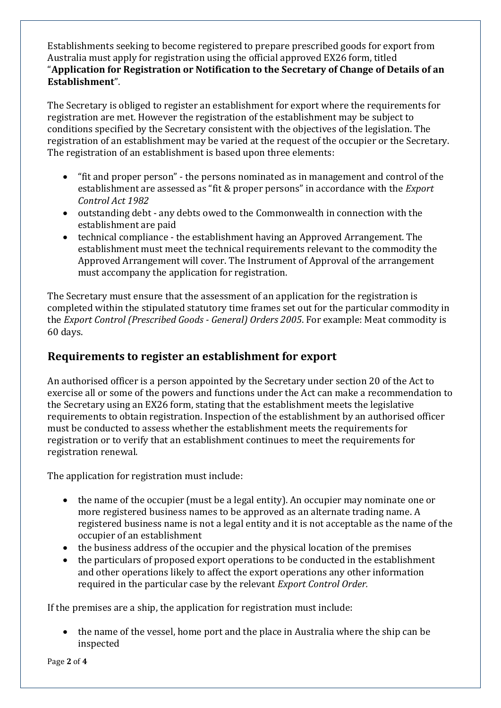Establishments seeking to become registered to prepare prescribed goods for export from Australia must apply for registration using the official approved EX26 form, titled "**Application for Registration or Notification to the Secretary of Change of Details of an Establishment**".

The Secretary is obliged to register an establishment for export where the requirements for registration are met. However the registration of the establishment may be subject to conditions specified by the Secretary consistent with the objectives of the legislation. The registration of an establishment may be varied at the request of the occupier or the Secretary. The registration of an establishment is based upon three elements:

- "fit and proper person" the persons nominated as in management and control of the establishment are assessed as "fit & proper persons" in accordance with the *Export Control Act 1982*
- outstanding debt any debts owed to the Commonwealth in connection with the establishment are paid
- technical compliance the establishment having an Approved Arrangement. The establishment must meet the technical requirements relevant to the commodity the Approved Arrangement will cover. The Instrument of Approval of the arrangement must accompany the application for registration.

The Secretary must ensure that the assessment of an application for the registration is completed within the stipulated statutory time frames set out for the particular commodity in the *Export Control (Prescribed Goods - General) Orders 2005*. For example: Meat commodity is 60 days.

## **Requirements to register an establishment for export**

An authorised officer is a person appointed by the Secretary under section 20 of the Act to exercise all or some of the powers and functions under the Act can make a recommendation to the Secretary using an EX26 form, stating that the establishment meets the legislative requirements to obtain registration. Inspection of the establishment by an authorised officer must be conducted to assess whether the establishment meets the requirements for registration or to verify that an establishment continues to meet the requirements for registration renewal.

The application for registration must include:

- the name of the occupier (must be a legal entity). An occupier may nominate one or more registered business names to be approved as an alternate trading name. A registered business name is not a legal entity and it is not acceptable as the name of the occupier of an establishment
- the business address of the occupier and the physical location of the premises
- the particulars of proposed export operations to be conducted in the establishment and other operations likely to affect the export operations any other information required in the particular case by the relevant *Export Control Order.*

If the premises are a ship, the application for registration must include:

 the name of the vessel, home port and the place in Australia where the ship can be inspected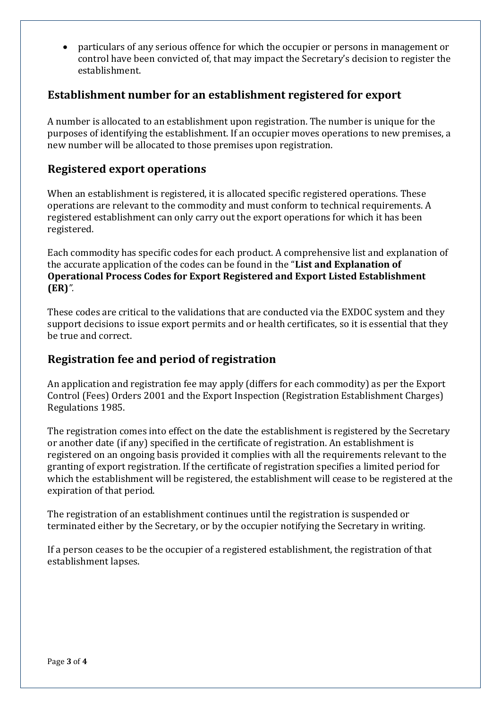particulars of any serious offence for which the occupier or persons in management or control have been convicted of, that may impact the Secretary's decision to register the establishment.

#### **Establishment number for an establishment registered for export**

A number is allocated to an establishment upon registration. The number is unique for the purposes of identifying the establishment. If an occupier moves operations to new premises, a new number will be allocated to those premises upon registration.

#### **Registered export operations**

When an establishment is registered, it is allocated specific registered operations. These operations are relevant to the commodity and must conform to technical requirements. A registered establishment can only carry out the export operations for which it has been registered.

Each commodity has specific codes for each product. A comprehensive list and explanation of the accurate application of the codes can be found in the "**List and Explanation of Operational Process Codes for Export Registered and Export Listed Establishment (ER)***".* 

These codes are critical to the validations that are conducted via the EXDOC system and they support decisions to issue export permits and or health certificates, so it is essential that they be true and correct.

#### **Registration fee and period of registration**

An application and registration fee may apply (differs for each commodity) as per the Export Control (Fees) Orders 2001 and the Export Inspection (Registration Establishment Charges) Regulations 1985.

The registration comes into effect on the date the establishment is registered by the Secretary or another date (if any) specified in the certificate of registration. An establishment is registered on an ongoing basis provided it complies with all the requirements relevant to the granting of export registration. If the certificate of registration specifies a limited period for which the establishment will be registered, the establishment will cease to be registered at the expiration of that period.

The registration of an establishment continues until the registration is suspended or terminated either by the Secretary, or by the occupier notifying the Secretary in writing.

If a person ceases to be the occupier of a registered establishment, the registration of that establishment lapses.